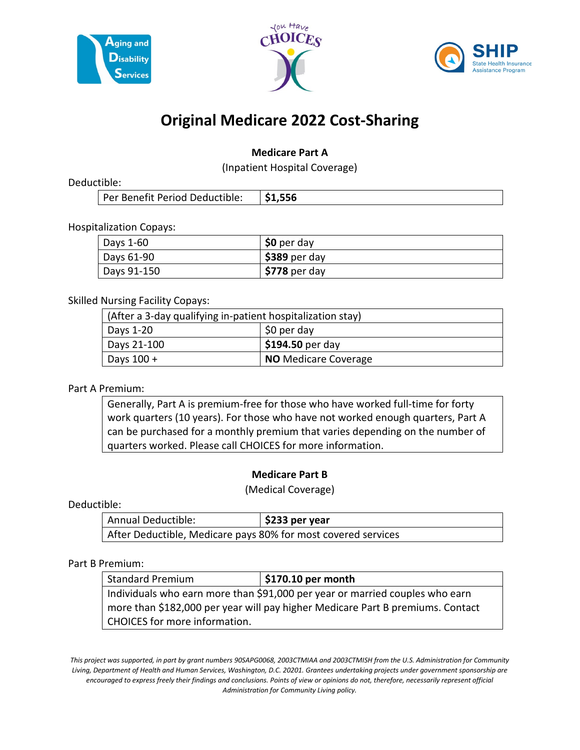





# **Original Medicare 2022 Cost-Sharing**

### **Medicare Part A**

(Inpatient Hospital Coverage)

Deductible:

| Per Benefit Period Deductible:   \$1,556 |  |
|------------------------------------------|--|
|                                          |  |

Hospitalization Copays:

| Days 1-60   | $$0$ per day   |
|-------------|----------------|
| Days 61-90  | $$389$ per day |
| Days 91-150 | $$778$ per day |

Skilled Nursing Facility Copays:

| (After a 3-day qualifying in-patient hospitalization stay) |                                |  |
|------------------------------------------------------------|--------------------------------|--|
| Days 1-20                                                  | \$0 per day                    |  |
| Days 21-100                                                | $\frac{1}{2}$ \$194.50 per day |  |
| Days $100 +$                                               | <b>NO</b> Medicare Coverage    |  |

### Part A Premium:

Generally, Part A is premium-free for those who have worked full-time for forty work quarters (10 years). For those who have not worked enough quarters, Part A can be purchased for a monthly premium that varies depending on the number of quarters worked. Please call CHOICES for more information.

### **Medicare Part B**

(Medical Coverage)

#### Deductible:

| Annual Deductible:                                            | $\frac{1}{2}$ \$233 per year |
|---------------------------------------------------------------|------------------------------|
| After Deductible, Medicare pays 80% for most covered services |                              |

#### Part B Premium:

| <b>Standard Premium</b>                                                        | $\frac{1}{2}$ \$170.10 per month |
|--------------------------------------------------------------------------------|----------------------------------|
| Individuals who earn more than \$91,000 per year or married couples who earn   |                                  |
| more than \$182,000 per year will pay higher Medicare Part B premiums. Contact |                                  |
| CHOICES for more information.                                                  |                                  |

*This project was supported, in part by grant numbers 90SAPG0068, 2003CTMIAA and 2003CTMISH from the U.S. Administration for Community Living, Department of Health and Human Services, Washington, D.C. 20201. Grantees undertaking projects under government sponsorship are encouraged to express freely their findings and conclusions. Points of view or opinions do not, therefore, necessarily represent official Administration for Community Living policy.*